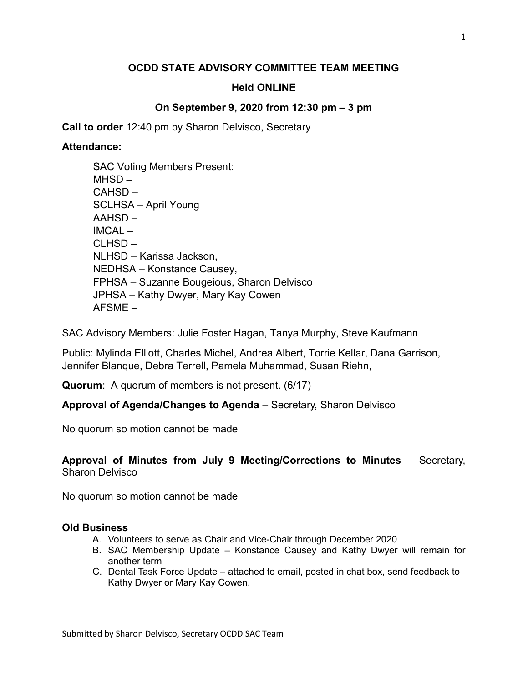# OCDD STATE ADVISORY COMMITTEE TEAM MEETING

# Held ONLINE

# On September 9, 2020 from 12:30 pm – 3 pm

Call to order 12:40 pm by Sharon Delvisco, Secretary

### Attendance:

SAC Advisory Members: Julie Foster Hagan, Tanya Murphy, Steve Kaufmann

Public: Mylinda Elliott, Charles Michel, Andrea Albert, Torrie Kellar, Dana Garrison, Jennifer Blanque, Debra Terrell, Pamela Muhammad, Susan Riehn,

Quorum: A quorum of members is not present. (6/17)

Approval of Agenda/Changes to Agenda – Secretary, Sharon Delvisco

No quorum so motion cannot be made

# Approval of Minutes from July 9 Meeting/Corrections to Minutes – Secretary, Sharon Delvisco

No quorum so motion cannot be made

#### Old Business

- A. Volunteers to serve as Chair and Vice-Chair through December 2020
- B. SAC Membership Update Konstance Causey and Kathy Dwyer will remain for another term
- C. Dental Task Force Update attached to email, posted in chat box, send feedback to Kathy Dwyer or Mary Kay Cowen.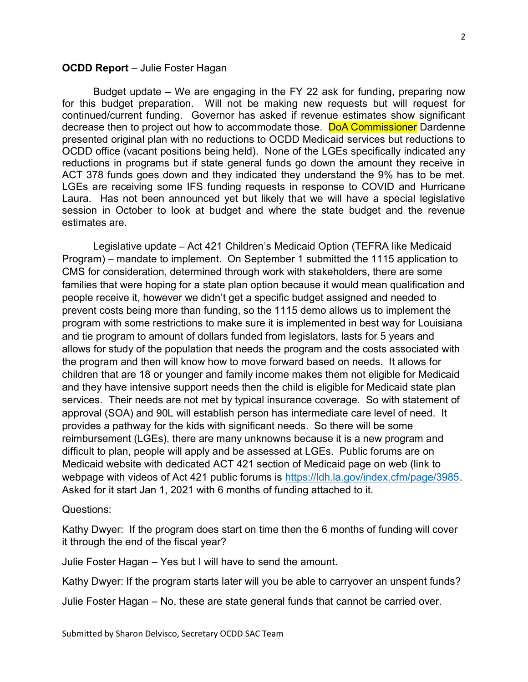#### OCDD Report – Julie Foster Hagan

Budget update – We are engaging in the FY 22 ask for funding, preparing now for this budget preparation. Will not be making new requests but will request for continued/current funding. Governor has asked if revenue estimates show significant decrease then to project out how to accommodate those. DoA Commissioner Dardenne presented original plan with no reductions to OCDD Medicaid services but reductions to OCDD office (vacant positions being held). None of the LGEs specifically indicated any reductions in programs but if state general funds go down the amount they receive in ACT 378 funds goes down and they indicated they understand the 9% has to be met. LGEs are receiving some IFS funding requests in response to COVID and Hurricane Laura. Has not been announced yet but likely that we will have a special legislative session in October to look at budget and where the state budget and the revenue estimates are.

 Legislative update – Act 421 Children's Medicaid Option (TEFRA like Medicaid Program) – mandate to implement. On September 1 submitted the 1115 application to CMS for consideration, determined through work with stakeholders, there are some families that were hoping for a state plan option because it would mean qualification and people receive it, however we didn't get a specific budget assigned and needed to prevent costs being more than funding, so the 1115 demo allows us to implement the program with some restrictions to make sure it is implemented in best way for Louisiana and tie program to amount of dollars funded from legislators, lasts for 5 years and allows for study of the population that needs the program and the costs associated with the program and then will know how to move forward based on needs. It allows for children that are 18 or younger and family income makes them not eligible for Medicaid and they have intensive support needs then the child is eligible for Medicaid state plan services. Their needs are not met by typical insurance coverage. So with statement of approval (SOA) and 90L will establish person has intermediate care level of need. It provides a pathway for the kids with significant needs. So there will be some reimbursement (LGEs), there are many unknowns because it is a new program and difficult to plan, people will apply and be assessed at LGEs. Public forums are on Medicaid website with dedicated ACT 421 section of Medicaid page on web (link to webpage with videos of Act 421 public forums is https://ldh.la.gov/index.cfm/page/3985. Asked for it start Jan 1, 2021 with 6 months of funding attached to it.

#### Questions:

Kathy Dwyer: If the program does start on time then the 6 months of funding will cover it through the end of the fiscal year?

Julie Foster Hagan – Yes but I will have to send the amount.

Kathy Dwyer: If the program starts later will you be able to carryover an unspent funds?

Julie Foster Hagan – No, these are state general funds that cannot be carried over.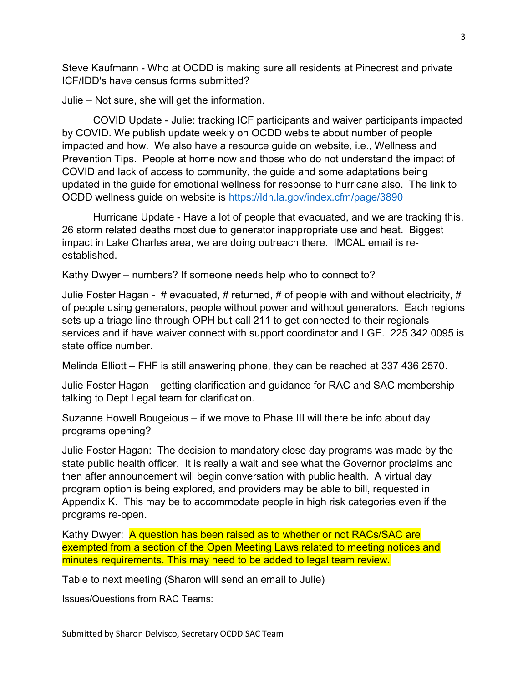Steve Kaufmann - Who at OCDD is making sure all residents at Pinecrest and private ICF/IDD's have census forms submitted?

Julie – Not sure, she will get the information.

COVID Update - Julie: tracking ICF participants and waiver participants impacted by COVID. We publish update weekly on OCDD website about number of people impacted and how. We also have a resource guide on website, i.e., Wellness and Prevention Tips. People at home now and those who do not understand the impact of COVID and lack of access to community, the guide and some adaptations being updated in the guide for emotional wellness for response to hurricane also. The link to OCDD wellness guide on website is https://ldh.la.gov/index.cfm/page/3890

Hurricane Update - Have a lot of people that evacuated, and we are tracking this, 26 storm related deaths most due to generator inappropriate use and heat. Biggest impact in Lake Charles area, we are doing outreach there. IMCAL email is reestablished.

Kathy Dwyer – numbers? If someone needs help who to connect to?

Julie Foster Hagan -  $\#$  evacuated,  $\#$  returned,  $\#$  of people with and without electricity,  $\#$ of people using generators, people without power and without generators. Each regions sets up a triage line through OPH but call 211 to get connected to their regionals services and if have waiver connect with support coordinator and LGE. 225 342 0095 is state office number.

Melinda Elliott – FHF is still answering phone, they can be reached at 337 436 2570.

Julie Foster Hagan – getting clarification and guidance for RAC and SAC membership – talking to Dept Legal team for clarification.

Suzanne Howell Bougeious – if we move to Phase III will there be info about day programs opening?

Julie Foster Hagan: The decision to mandatory close day programs was made by the state public health officer. It is really a wait and see what the Governor proclaims and then after announcement will begin conversation with public health. A virtual day program option is being explored, and providers may be able to bill, requested in Appendix K. This may be to accommodate people in high risk categories even if the programs re-open.

Kathy Dwyer: A question has been raised as to whether or not RACs/SAC are exempted from a section of the Open Meeting Laws related to meeting notices and minutes requirements. This may need to be added to legal team review.

Table to next meeting (Sharon will send an email to Julie)

Issues/Questions from RAC Teams: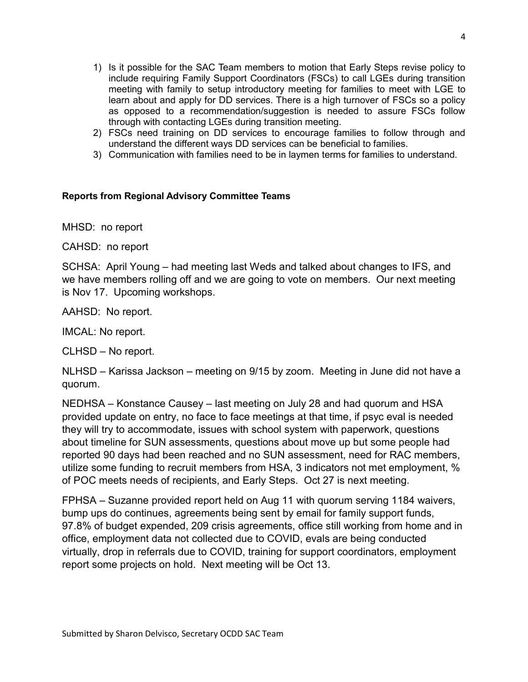- 1) Is it possible for the SAC Team members to motion that Early Steps revise policy to include requiring Family Support Coordinators (FSCs) to call LGEs during transition meeting with family to setup introductory meeting for families to meet with LGE to learn about and apply for DD services. There is a high turnover of FSCs so a policy as opposed to a recommendation/suggestion is needed to assure FSCs follow through with contacting LGEs during transition meeting.
- 2) FSCs need training on DD services to encourage families to follow through and understand the different ways DD services can be beneficial to families.
- 3) Communication with families need to be in laymen terms for families to understand.

### Reports from Regional Advisory Committee Teams

MHSD: no report

CAHSD: no report

SCHSA: April Young – had meeting last Weds and talked about changes to IFS, and we have members rolling off and we are going to vote on members. Our next meeting is Nov 17. Upcoming workshops.

AAHSD: No report.

IMCAL: No report.

CLHSD – No report.

NLHSD – Karissa Jackson – meeting on 9/15 by zoom. Meeting in June did not have a quorum.

NEDHSA – Konstance Causey – last meeting on July 28 and had quorum and HSA provided update on entry, no face to face meetings at that time, if psyc eval is needed they will try to accommodate, issues with school system with paperwork, questions about timeline for SUN assessments, questions about move up but some people had reported 90 days had been reached and no SUN assessment, need for RAC members, utilize some funding to recruit members from HSA, 3 indicators not met employment, % of POC meets needs of recipients, and Early Steps. Oct 27 is next meeting.

FPHSA – Suzanne provided report held on Aug 11 with quorum serving 1184 waivers, bump ups do continues, agreements being sent by email for family support funds, 97.8% of budget expended, 209 crisis agreements, office still working from home and in office, employment data not collected due to COVID, evals are being conducted virtually, drop in referrals due to COVID, training for support coordinators, employment report some projects on hold. Next meeting will be Oct 13.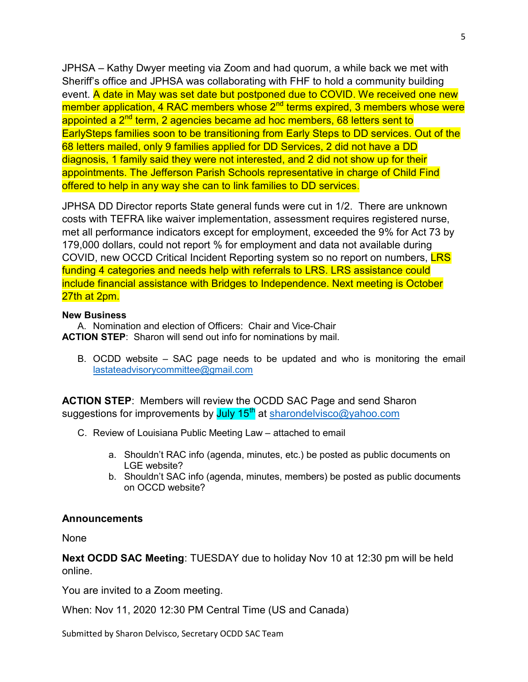JPHSA – Kathy Dwyer meeting via Zoom and had quorum, a while back we met with Sheriff's office and JPHSA was collaborating with FHF to hold a community building event. A date in May was set date but postponed due to COVID. We received one new member application, 4 RAC members whose 2<sup>nd</sup> terms expired, 3 members whose were appointed a 2<sup>nd</sup> term, 2 agencies became ad hoc members, 68 letters sent to EarlySteps families soon to be transitioning from Early Steps to DD services. Out of the 68 letters mailed, only 9 families applied for DD Services, 2 did not have a DD diagnosis, 1 family said they were not interested, and 2 did not show up for their appointments. The Jefferson Parish Schools representative in charge of Child Find offered to help in any way she can to link families to DD services.

JPHSA DD Director reports State general funds were cut in 1/2. There are unknown costs with TEFRA like waiver implementation, assessment requires registered nurse, met all performance indicators except for employment, exceeded the 9% for Act 73 by 179,000 dollars, could not report % for employment and data not available during COVID, new OCCD Critical Incident Reporting system so no report on numbers, LRS funding 4 categories and needs help with referrals to LRS. LRS assistance could include financial assistance with Bridges to Independence. Next meeting is October 27th at 2pm.

#### New Business

A. Nomination and election of Officers: Chair and Vice-Chair ACTION STEP: Sharon will send out info for nominations by mail.

B. OCDD website – SAC page needs to be updated and who is monitoring the email lastateadvisorycommittee@gmail.com

ACTION STEP: Members will review the OCDD SAC Page and send Sharon suggestions for improvements by July 15<sup>th</sup> at sharondelvisco@yahoo.com

- C. Review of Louisiana Public Meeting Law attached to email
	- a. Shouldn't RAC info (agenda, minutes, etc.) be posted as public documents on LGE website?
	- b. Shouldn't SAC info (agenda, minutes, members) be posted as public documents on OCCD website?

#### **Announcements**

None

Next OCDD SAC Meeting: TUESDAY due to holiday Nov 10 at 12:30 pm will be held online.

You are invited to a Zoom meeting.

When: Nov 11, 2020 12:30 PM Central Time (US and Canada)

Submitted by Sharon Delvisco, Secretary OCDD SAC Team